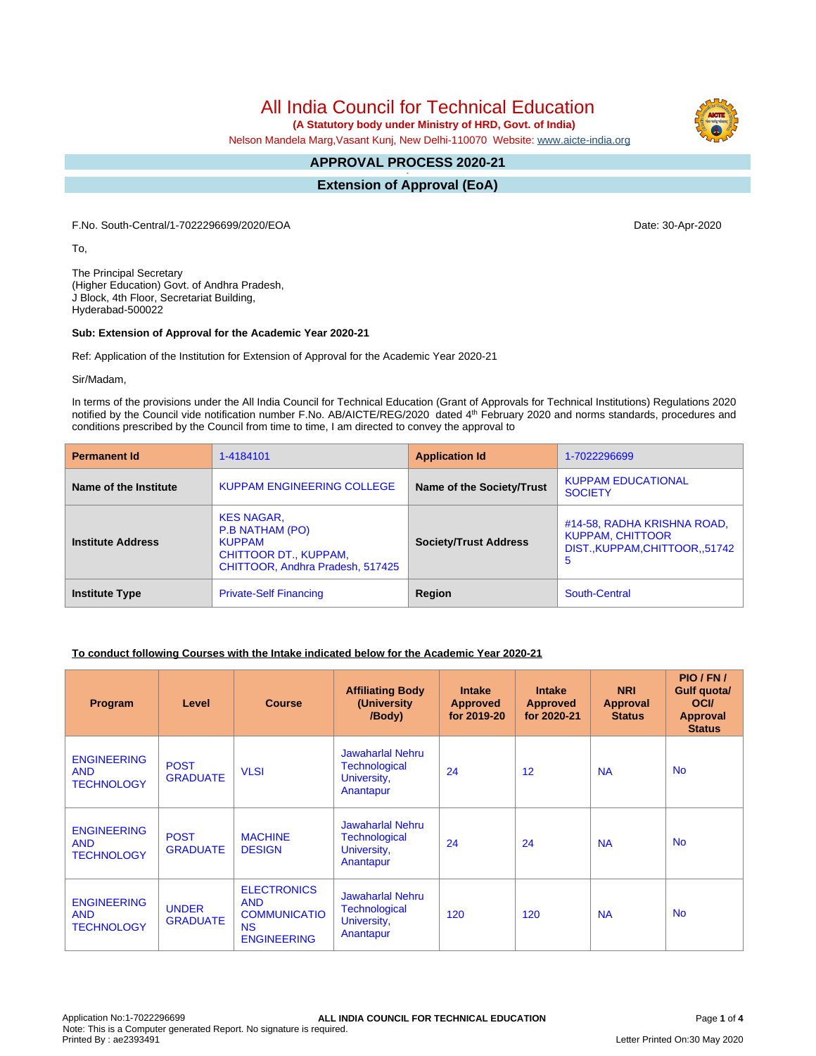# All India Council for Technical Education

 **(A Statutory body under Ministry of HRD, Govt. of India)**

Nelson Mandela Marg,Vasant Kunj, New Delhi-110070 Website: [www.aicte-india.org](http://www.aicte-india.org)

#### **APPROVAL PROCESS 2020-21 -**

**Extension of Approval (EoA)**

F.No. South-Central/1-7022296699/2020/EOA Date: 30-Apr-2020

To,

The Principal Secretary (Higher Education) Govt. of Andhra Pradesh, J Block, 4th Floor, Secretariat Building, Hyderabad-500022

#### **Sub: Extension of Approval for the Academic Year 2020-21**

Ref: Application of the Institution for Extension of Approval for the Academic Year 2020-21

Sir/Madam,

In terms of the provisions under the All India Council for Technical Education (Grant of Approvals for Technical Institutions) Regulations 2020 notified by the Council vide notification number F.No. AB/AICTE/REG/2020 dated 4<sup>th</sup> February 2020 and norms standards, procedures and conditions prescribed by the Council from time to time, I am directed to convey the approval to

| <b>Permanent Id</b>      | 1-4184101                                                                                                          | <b>Application Id</b>        | 1-7022296699                                                                                  |
|--------------------------|--------------------------------------------------------------------------------------------------------------------|------------------------------|-----------------------------------------------------------------------------------------------|
| Name of the Institute    | KUPPAM ENGINEERING COLLEGE                                                                                         | Name of the Society/Trust    | <b>KUPPAM EDUCATIONAL</b><br><b>SOCIETY</b>                                                   |
| <b>Institute Address</b> | <b>KES NAGAR,</b><br>P.B NATHAM (PO)<br><b>KUPPAM</b><br>CHITTOOR DT., KUPPAM,<br>CHITTOOR, Andhra Pradesh, 517425 | <b>Society/Trust Address</b> | #14-58, RADHA KRISHNA ROAD,<br><b>KUPPAM, CHITTOOR</b><br>DIST., KUPPAM, CHITTOOR, 51742<br>5 |
| <b>Institute Type</b>    | <b>Private-Self Financing</b>                                                                                      | Region                       | South-Central                                                                                 |

### **To conduct following Courses with the Intake indicated below for the Academic Year 2020-21**

| <b>Program</b>                                        | Level                           | <b>Course</b>                                                                              | <b>Affiliating Body</b><br>(University)<br>/Body)                           | <b>Intake</b><br><b>Approved</b><br>for 2019-20 | <b>Intake</b><br><b>Approved</b><br>for 2020-21 | <b>NRI</b><br>Approval<br><b>Status</b> | PIO/FN/<br><b>Gulf quotal</b><br><b>OCI</b><br><b>Approval</b><br><b>Status</b> |
|-------------------------------------------------------|---------------------------------|--------------------------------------------------------------------------------------------|-----------------------------------------------------------------------------|-------------------------------------------------|-------------------------------------------------|-----------------------------------------|---------------------------------------------------------------------------------|
| <b>ENGINEERING</b><br><b>AND</b><br><b>TECHNOLOGY</b> | <b>POST</b><br><b>GRADUATE</b>  | <b>VLSI</b>                                                                                | <b>Jawaharlal Nehru</b><br><b>Technological</b><br>University,<br>Anantapur | 24                                              | 12                                              | <b>NA</b>                               | <b>No</b>                                                                       |
| <b>ENGINEERING</b><br><b>AND</b><br><b>TECHNOLOGY</b> | <b>POST</b><br><b>GRADUATE</b>  | <b>MACHINE</b><br><b>DESIGN</b>                                                            | <b>Jawaharlal Nehru</b><br><b>Technological</b><br>University,<br>Anantapur | 24                                              | 24                                              | <b>NA</b>                               | <b>No</b>                                                                       |
| <b>ENGINEERING</b><br><b>AND</b><br><b>TECHNOLOGY</b> | <b>UNDER</b><br><b>GRADUATE</b> | <b>ELECTRONICS</b><br><b>AND</b><br><b>COMMUNICATIO</b><br><b>NS</b><br><b>ENGINEERING</b> | <b>Jawaharlal Nehru</b><br><b>Technological</b><br>University,<br>Anantapur | 120                                             | 120                                             | <b>NA</b>                               | <b>No</b>                                                                       |

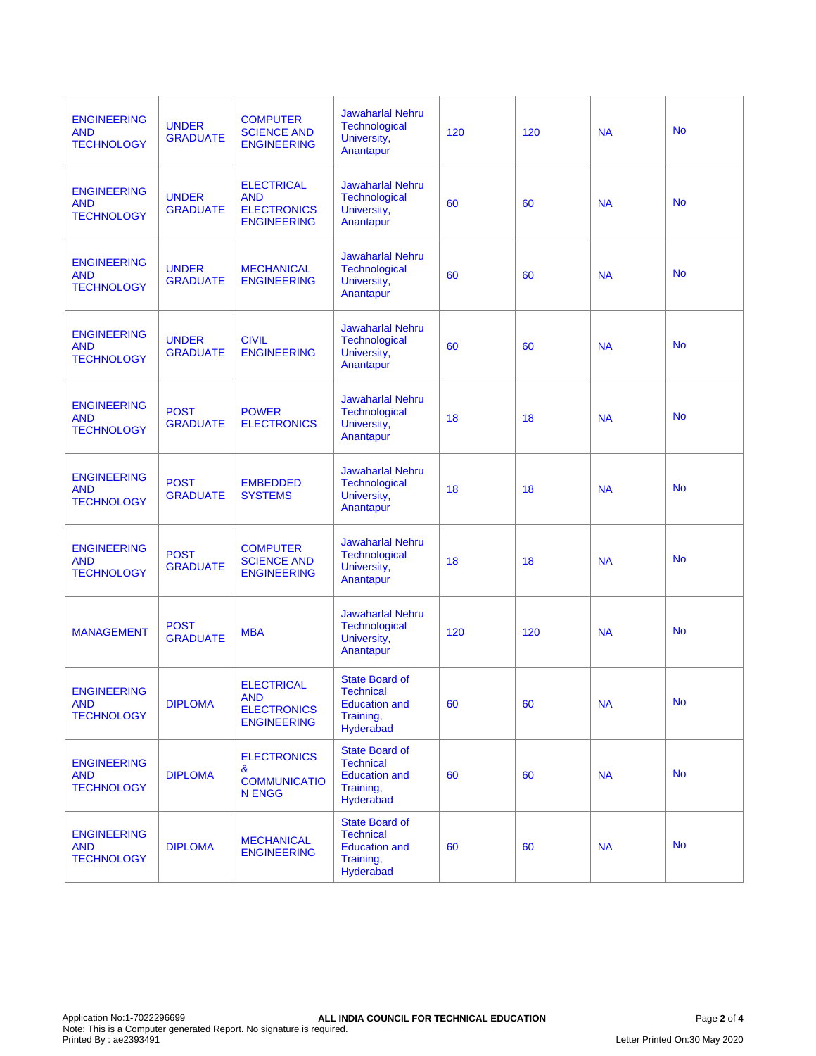| <b>ENGINEERING</b><br><b>AND</b><br><b>TECHNOLOGY</b> | <b>UNDER</b><br><b>GRADUATE</b> | <b>COMPUTER</b><br><b>SCIENCE AND</b><br><b>ENGINEERING</b>                 | <b>Jawaharlal Nehru</b><br><b>Technological</b><br>University,<br>Anantapur                 | 120 | 120 | <b>NA</b> | <b>No</b> |
|-------------------------------------------------------|---------------------------------|-----------------------------------------------------------------------------|---------------------------------------------------------------------------------------------|-----|-----|-----------|-----------|
| <b>ENGINEERING</b><br><b>AND</b><br><b>TECHNOLOGY</b> | <b>UNDER</b><br><b>GRADUATE</b> | <b>ELECTRICAL</b><br><b>AND</b><br><b>ELECTRONICS</b><br><b>ENGINEERING</b> | <b>Jawaharlal Nehru</b><br><b>Technological</b><br>University,<br>Anantapur                 | 60  | 60  | <b>NA</b> | <b>No</b> |
| <b>ENGINEERING</b><br><b>AND</b><br><b>TECHNOLOGY</b> | <b>UNDER</b><br><b>GRADUATE</b> | <b>MECHANICAL</b><br><b>ENGINEERING</b>                                     | <b>Jawaharlal Nehru</b><br><b>Technological</b><br>University,<br>Anantapur                 | 60  | 60  | <b>NA</b> | <b>No</b> |
| <b>ENGINEERING</b><br><b>AND</b><br><b>TECHNOLOGY</b> | <b>UNDER</b><br><b>GRADUATE</b> | <b>CIVIL</b><br><b>ENGINEERING</b>                                          | <b>Jawaharlal Nehru</b><br>Technological<br>University,<br>Anantapur                        | 60  | 60  | <b>NA</b> | <b>No</b> |
| <b>ENGINEERING</b><br><b>AND</b><br><b>TECHNOLOGY</b> | <b>POST</b><br><b>GRADUATE</b>  | <b>POWER</b><br><b>ELECTRONICS</b>                                          | <b>Jawaharlal Nehru</b><br><b>Technological</b><br>University,<br>Anantapur                 | 18  | 18  | <b>NA</b> | <b>No</b> |
| <b>ENGINEERING</b><br><b>AND</b><br><b>TECHNOLOGY</b> | <b>POST</b><br><b>GRADUATE</b>  | <b>EMBEDDED</b><br><b>SYSTEMS</b>                                           | <b>Jawaharlal Nehru</b><br>Technological<br>University,<br>Anantapur                        | 18  | 18  | <b>NA</b> | <b>No</b> |
| <b>ENGINEERING</b><br><b>AND</b><br><b>TECHNOLOGY</b> | <b>POST</b><br><b>GRADUATE</b>  | <b>COMPUTER</b><br><b>SCIENCE AND</b><br><b>ENGINEERING</b>                 | <b>Jawaharlal Nehru</b><br><b>Technological</b><br>University,<br>Anantapur                 | 18  | 18  | <b>NA</b> | <b>No</b> |
| <b>MANAGEMENT</b>                                     | <b>POST</b><br><b>GRADUATE</b>  | <b>MBA</b>                                                                  | <b>Jawaharlal Nehru</b><br><b>Technological</b><br>University,<br>Anantapur                 | 120 | 120 | <b>NA</b> | <b>No</b> |
| <b>ENGINEERING</b><br><b>AND</b><br><b>TECHNOLOGY</b> | <b>DIPLOMA</b>                  | <b>ELECTRICAL</b><br><b>AND</b><br><b>ELECTRONICS</b><br><b>ENGINEERING</b> | <b>State Board of</b><br><b>Technical</b><br><b>Education and</b><br>Training,<br>Hyderabad | 60  | 60  | <b>NA</b> | <b>No</b> |
| <b>ENGINEERING</b><br><b>AND</b><br><b>TECHNOLOGY</b> | <b>DIPLOMA</b>                  | <b>ELECTRONICS</b><br>&<br><b>COMMUNICATIO</b><br><b>N ENGG</b>             | <b>State Board of</b><br><b>Technical</b><br><b>Education and</b><br>Training,<br>Hyderabad | 60  | 60  | <b>NA</b> | <b>No</b> |
| <b>ENGINEERING</b><br><b>AND</b><br><b>TECHNOLOGY</b> | <b>DIPLOMA</b>                  | <b>MECHANICAL</b><br><b>ENGINEERING</b>                                     | <b>State Board of</b><br><b>Technical</b><br><b>Education and</b><br>Training,<br>Hyderabad | 60  | 60  | <b>NA</b> | <b>No</b> |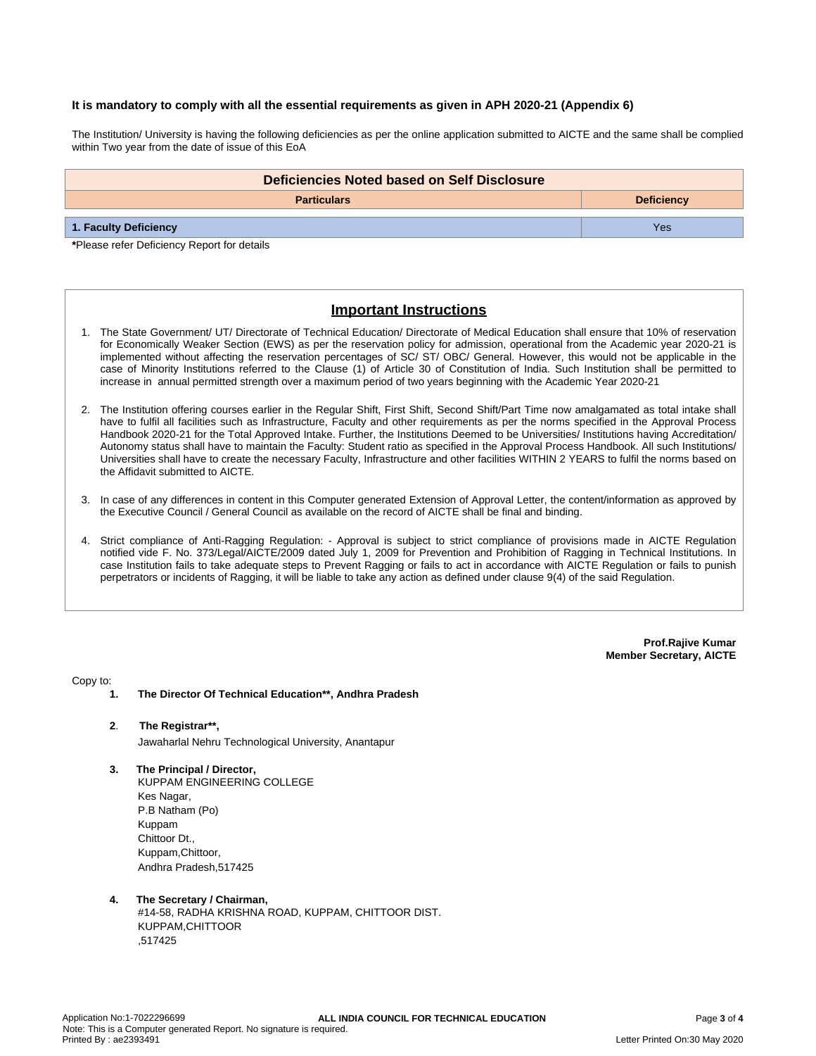#### **It is mandatory to comply with all the essential requirements as given in APH 2020-21 (Appendix 6)**

The Institution/ University is having the following deficiencies as per the online application submitted to AICTE and the same shall be complied within Two year from the date of issue of this EoA

| Deficiencies Noted based on Self Disclosure |                   |  |  |
|---------------------------------------------|-------------------|--|--|
| <b>Particulars</b>                          | <b>Deficiency</b> |  |  |
| 1. Faculty Deficiency                       | Yes               |  |  |

**\***Please refer Deficiency Report for details

# **Important Instructions**

- 1. The State Government/ UT/ Directorate of Technical Education/ Directorate of Medical Education shall ensure that 10% of reservation for Economically Weaker Section (EWS) as per the reservation policy for admission, operational from the Academic year 2020-21 is implemented without affecting the reservation percentages of SC/ ST/ OBC/ General. However, this would not be applicable in the case of Minority Institutions referred to the Clause (1) of Article 30 of Constitution of India. Such Institution shall be permitted to increase in annual permitted strength over a maximum period of two years beginning with the Academic Year 2020-21
- 2. The Institution offering courses earlier in the Regular Shift, First Shift, Second Shift/Part Time now amalgamated as total intake shall have to fulfil all facilities such as Infrastructure, Faculty and other requirements as per the norms specified in the Approval Process Handbook 2020-21 for the Total Approved Intake. Further, the Institutions Deemed to be Universities/ Institutions having Accreditation/ Autonomy status shall have to maintain the Faculty: Student ratio as specified in the Approval Process Handbook. All such Institutions/ Universities shall have to create the necessary Faculty, Infrastructure and other facilities WITHIN 2 YEARS to fulfil the norms based on the Affidavit submitted to AICTE.
- 3. In case of any differences in content in this Computer generated Extension of Approval Letter, the content/information as approved by the Executive Council / General Council as available on the record of AICTE shall be final and binding.
- 4. Strict compliance of Anti-Ragging Regulation: Approval is subject to strict compliance of provisions made in AICTE Regulation notified vide F. No. 373/Legal/AICTE/2009 dated July 1, 2009 for Prevention and Prohibition of Ragging in Technical Institutions. In case Institution fails to take adequate steps to Prevent Ragging or fails to act in accordance with AICTE Regulation or fails to punish perpetrators or incidents of Ragging, it will be liable to take any action as defined under clause 9(4) of the said Regulation.

**Prof.Rajive Kumar Member Secretary, AICTE**

Copy to:

- **1. The Director Of Technical Education\*\*, Andhra Pradesh**
- **2**. **The Registrar\*\*,** Jawaharlal Nehru Technological University, Anantapur
- **3. The Principal / Director,** KUPPAM ENGINEERING COLLEGE Kes Nagar, P.B Natham (Po) Kuppam Chittoor Dt., Kuppam,Chittoor, Andhra Pradesh,517425

#### **4. The Secretary / Chairman,** #14-58, RADHA KRISHNA ROAD, KUPPAM, CHITTOOR DIST. KUPPAM,CHITTOOR ,517425